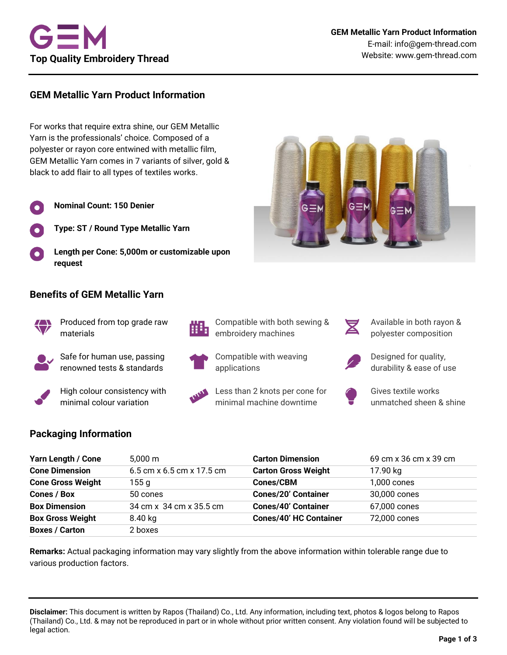

# **GEM Metallic Yarn Product Information**

For works that require extra shine, our GEM Metallic Yarn is the professionals' choice. Composed of a polyester or rayon core entwined with metallic film, GEM Metallic Yarn comes in 7 variants of silver, gold & black to add flair to all types of textiles works.

- **Nominal Count: 150 Denier**
	- **Type: ST / Round Type Metallic Yarn**
- **Length per Cone: 5,000m or customizable upon request**

#### **Benefits of GEM Metallic Yarn**



Produced from top grade raw materials

Safe for human use, passing renowned tests & standards

High colour consistency with minimal colour variation



Compatible with both sewing & embroidery machines

Less than 2 knots per cone for minimal machine downtime

Compatible with weaving

applications



Available in both rayon & polyester composition



Designed for quality, durability & ease of use



Gives textile works unmatched sheen & shine

## **Packaging Information**

| Yarn Length / Cone       | $5.000 \text{ m}$         | <b>Carton Dimension</b>       | 69 cm x 36 cm x 39 cm |
|--------------------------|---------------------------|-------------------------------|-----------------------|
| <b>Cone Dimension</b>    | 6.5 cm x 6.5 cm x 17.5 cm | <b>Carton Gross Weight</b>    | 17.90 kg              |
| <b>Cone Gross Weight</b> | 155 g                     | <b>Cones/CBM</b>              | 1,000 cones           |
| Cones / Box              | 50 cones                  | <b>Cones/20' Container</b>    | 30,000 cones          |
| <b>Box Dimension</b>     | 34 cm x 34 cm x 35.5 cm   | <b>Cones/40' Container</b>    | 67,000 cones          |
| <b>Box Gross Weight</b>  | 8.40 kg                   | <b>Cones/40' HC Container</b> | 72,000 cones          |
| <b>Boxes / Carton</b>    | 2 boxes                   |                               |                       |

**Remarks:** Actual packaging information may vary slightly from the above information within tolerable range due to various production factors.

**Disclaimer:** This document is written by Rapos (Thailand) Co., Ltd. Any information, including text, photos & logos belong to Rapos (Thailand) Co., Ltd. & may not be reproduced in part or in whole without prior written consent. Any violation found will be subjected to legal action.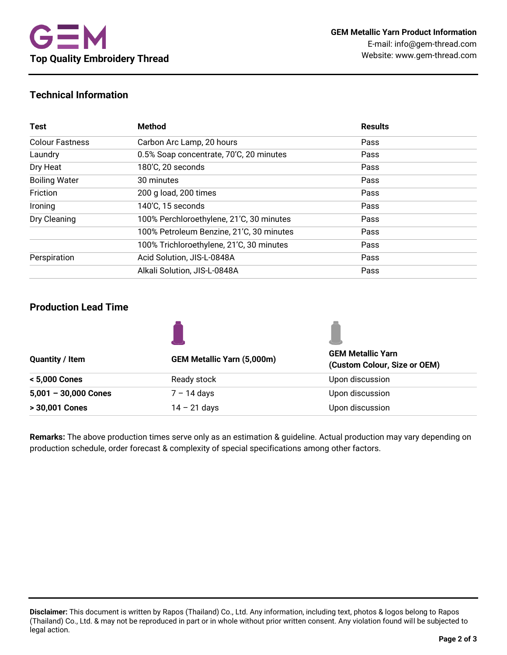# **Technical Information**

| <b>Test</b>            | <b>Method</b>                            | <b>Results</b> |  |
|------------------------|------------------------------------------|----------------|--|
| <b>Colour Fastness</b> | Carbon Arc Lamp, 20 hours                | Pass           |  |
| Laundry                | 0.5% Soap concentrate, 70'C, 20 minutes  | Pass           |  |
| Dry Heat               | 180'C, 20 seconds                        | Pass           |  |
| <b>Boiling Water</b>   | 30 minutes                               | Pass           |  |
| Friction               | 200 g load, 200 times                    | Pass           |  |
| Ironing                | 140'C, 15 seconds                        | Pass           |  |
| Dry Cleaning           | 100% Perchloroethylene, 21'C, 30 minutes | Pass           |  |
|                        | 100% Petroleum Benzine, 21'C, 30 minutes | Pass           |  |
|                        | 100% Trichloroethylene, 21'C, 30 minutes | Pass           |  |
| Perspiration           | Acid Solution, JIS-L-0848A               | Pass           |  |
|                        | Alkali Solution, JIS-L-0848A             | Pass           |  |

## **Production Lead Time**

|                                   | <b>GEM Metallic Yarn</b><br>(Custom Colour, Size or OEM) |  |
|-----------------------------------|----------------------------------------------------------|--|
| <b>GEM Metallic Yarn (5,000m)</b> |                                                          |  |
| Ready stock                       | Upon discussion                                          |  |
| $7 - 14$ days                     | Upon discussion                                          |  |
| $14 - 21$ days                    | Upon discussion                                          |  |
|                                   |                                                          |  |

**Remarks:** The above production times serve only as an estimation & guideline. Actual production may vary depending on production schedule, order forecast & complexity of special specifications among other factors.

**Disclaimer:** This document is written by Rapos (Thailand) Co., Ltd. Any information, including text, photos & logos belong to Rapos (Thailand) Co., Ltd. & may not be reproduced in part or in whole without prior written consent. Any violation found will be subjected to legal action.